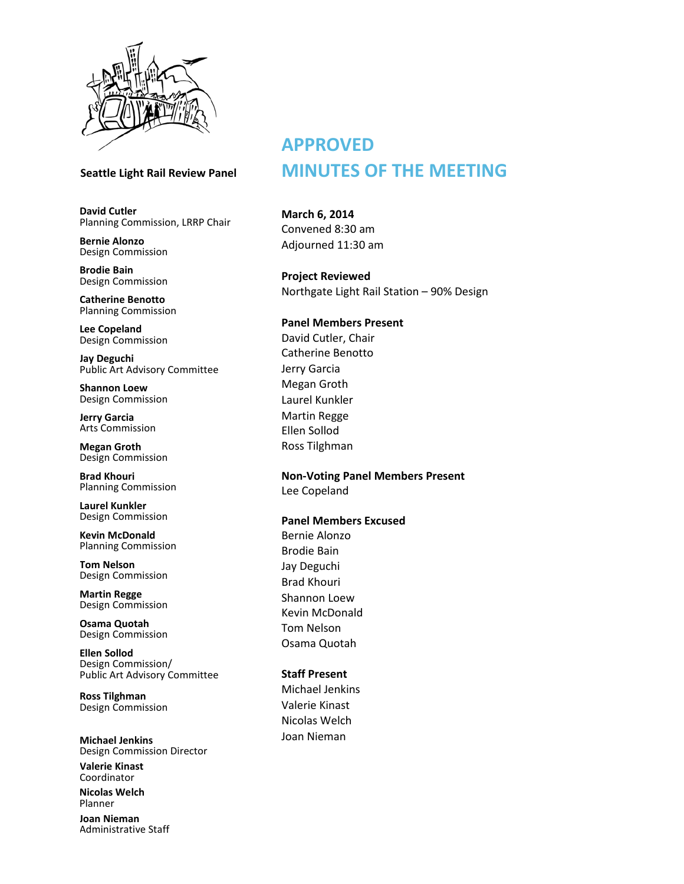

**David Cutler** Planning Commission, LRRP Chair

**Bernie Alonzo** Design Commission

**Brodie Bain** Design Commission

**Catherine Benotto** Planning Commission

**Lee Copeland** Design Commission

**Jay Deguchi** Public Art Advisory Committee

**Shannon Loew** Design Commission

**Jerry Garcia** Arts Commission

**Megan Groth** Design Commission

**Brad Khouri** Planning Commission

**Laurel Kunkler** Design Commission

**Kevin McDonald** Planning Commission

**Tom Nelson** Design Commission

**Martin Regge** Design Commission

**Osama Quotah** Design Commission

**Ellen Sollod** Design Commission/ Public Art Advisory Committee

**Ross Tilghman** Design Commission

**Michael Jenkins** Design Commission Director

**Valerie Kinast** Coordinator

**Nicolas Welch** Planner

**Joan Nieman** Administrative Staff

# **APPROVED Seattle Light Rail Review Panel MINUTES OF THE MEETING**

**March 6, 2014** Convened 8:30 am Adjourned 11:30 am

**Project Reviewed**  Northgate Light Rail Station – 90% Design

# **Panel Members Present**

David Cutler, Chair Catherine Benotto Jerry Garcia Megan Groth Laurel Kunkler Martin Regge Ellen Sollod Ross Tilghman

**Non-Voting Panel Members Present** Lee Copeland

### **Panel Members Excused**

Bernie Alonzo Brodie Bain Jay Deguchi Brad Khouri Shannon Loew Kevin McDonald Tom Nelson Osama Quotah

## **Staff Present**

Michael Jenkins Valerie Kinast Nicolas Welch Joan Nieman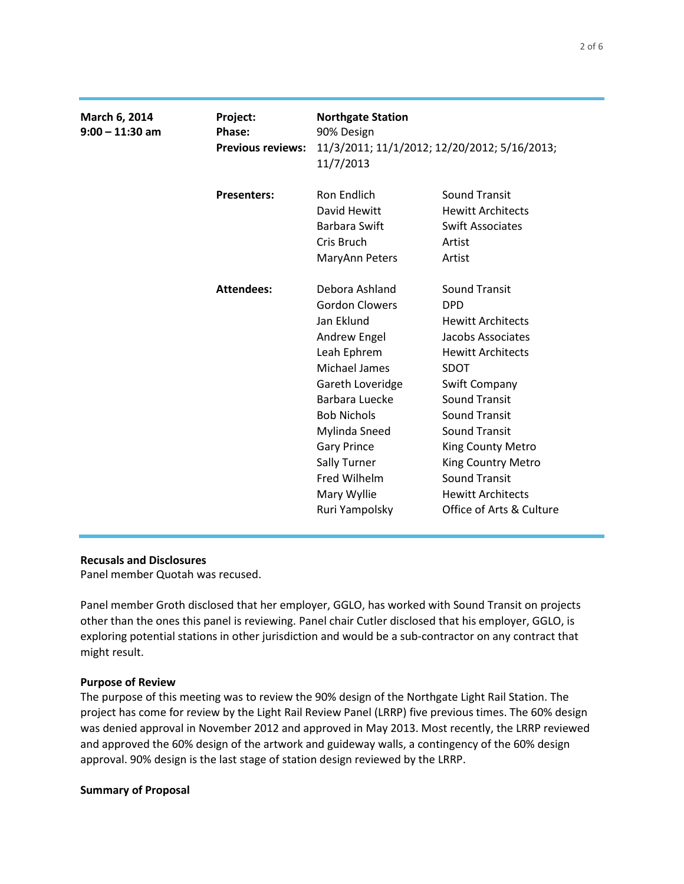| March 6, 2014<br>$9:00 - 11:30$ am | Project:<br>Phase:<br><b>Previous reviews:</b> | <b>Northgate Station</b><br>90% Design<br>11/3/2011; 11/1/2012; 12/20/2012; 5/16/2013;<br>11/7/2013                                         |                                                                                                                                                                         |
|------------------------------------|------------------------------------------------|---------------------------------------------------------------------------------------------------------------------------------------------|-------------------------------------------------------------------------------------------------------------------------------------------------------------------------|
|                                    | <b>Presenters:</b>                             | Ron Endlich<br>David Hewitt<br><b>Barbara Swift</b><br>Cris Bruch<br>MaryAnn Peters                                                         | <b>Sound Transit</b><br><b>Hewitt Architects</b><br><b>Swift Associates</b><br>Artist<br>Artist                                                                         |
|                                    | <b>Attendees:</b>                              | Debora Ashland<br><b>Gordon Clowers</b><br>Jan Eklund<br>Andrew Engel<br>Leah Ephrem<br>Michael James<br>Gareth Loveridge<br>Barbara Luecke | <b>Sound Transit</b><br><b>DPD</b><br><b>Hewitt Architects</b><br>Jacobs Associates<br><b>Hewitt Architects</b><br><b>SDOT</b><br>Swift Company<br><b>Sound Transit</b> |
|                                    |                                                | <b>Bob Nichols</b><br>Mylinda Sneed<br><b>Gary Prince</b><br>Sally Turner<br>Fred Wilhelm<br>Mary Wyllie<br>Ruri Yampolsky                  | <b>Sound Transit</b><br><b>Sound Transit</b><br>King County Metro<br>King Country Metro<br><b>Sound Transit</b><br><b>Hewitt Architects</b><br>Office of Arts & Culture |

## **Recusals and Disclosures**

Panel member Quotah was recused.

Panel member Groth disclosed that her employer, GGLO, has worked with Sound Transit on projects other than the ones this panel is reviewing. Panel chair Cutler disclosed that his employer, GGLO, is exploring potential stations in other jurisdiction and would be a sub-contractor on any contract that might result.

#### **Purpose of Review**

The purpose of this meeting was to review the 90% design of the Northgate Light Rail Station. The project has come for review by the Light Rail Review Panel (LRRP) five previous times. The 60% design was denied approval in November 2012 and approved in May 2013. Most recently, the LRRP reviewed and approved the 60% design of the artwork and guideway walls, a contingency of the 60% design approval. 90% design is the last stage of station design reviewed by the LRRP.

#### **Summary of Proposal**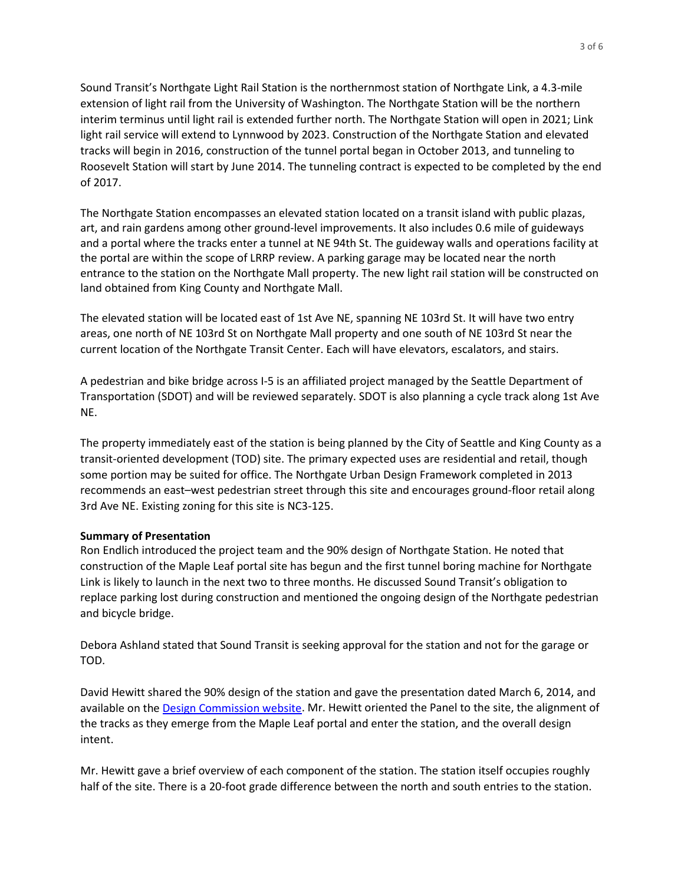Sound Transit's Northgate Light Rail Station is the northernmost station of Northgate Link, a 4.3-mile extension of light rail from the University of Washington. The Northgate Station will be the northern interim terminus until light rail is extended further north. The Northgate Station will open in 2021; Link light rail service will extend to Lynnwood by 2023. Construction of the Northgate Station and elevated tracks will begin in 2016, construction of the tunnel portal began in October 2013, and tunneling to Roosevelt Station will start by June 2014. The tunneling contract is expected to be completed by the end of 2017.

The Northgate Station encompasses an elevated station located on a transit island with public plazas, art, and rain gardens among other ground-level improvements. It also includes 0.6 mile of guideways and a portal where the tracks enter a tunnel at NE 94th St. The guideway walls and operations facility at the portal are within the scope of LRRP review. A parking garage may be located near the north entrance to the station on the Northgate Mall property. The new light rail station will be constructed on land obtained from King County and Northgate Mall.

The elevated station will be located east of 1st Ave NE, spanning NE 103rd St. It will have two entry areas, one north of NE 103rd St on Northgate Mall property and one south of NE 103rd St near the current location of the Northgate Transit Center. Each will have elevators, escalators, and stairs.

A pedestrian and bike bridge across I-5 is an affiliated project managed by the Seattle Department of Transportation (SDOT) and will be reviewed separately. SDOT is also planning a cycle track along 1st Ave NE.

The property immediately east of the station is being planned by the City of Seattle and King County as a transit-oriented development (TOD) site. The primary expected uses are residential and retail, though some portion may be suited for office. The Northgate Urban Design Framework completed in 2013 recommends an east–west pedestrian street through this site and encourages ground-floor retail along 3rd Ave NE. Existing zoning for this site is NC3-125.

# **Summary of Presentation**

Ron Endlich introduced the project team and the 90% design of Northgate Station. He noted that construction of the Maple Leaf portal site has begun and the first tunnel boring machine for Northgate Link is likely to launch in the next two to three months. He discussed Sound Transit's obligation to replace parking lost during construction and mentioned the ongoing design of the Northgate pedestrian and bicycle bridge.

Debora Ashland stated that Sound Transit is seeking approval for the station and not for the garage or TOD.

David Hewitt shared the 90% design of the station and gave the presentation dated March 6, 2014, and available on th[e Design Commission website.](http://www.seattle.gov/dpd/Planning/Design_Commission/Project_Review_Meetings/Minutes/default.asp) Mr. Hewitt oriented the Panel to the site, the alignment of the tracks as they emerge from the Maple Leaf portal and enter the station, and the overall design intent.

Mr. Hewitt gave a brief overview of each component of the station. The station itself occupies roughly half of the site. There is a 20-foot grade difference between the north and south entries to the station.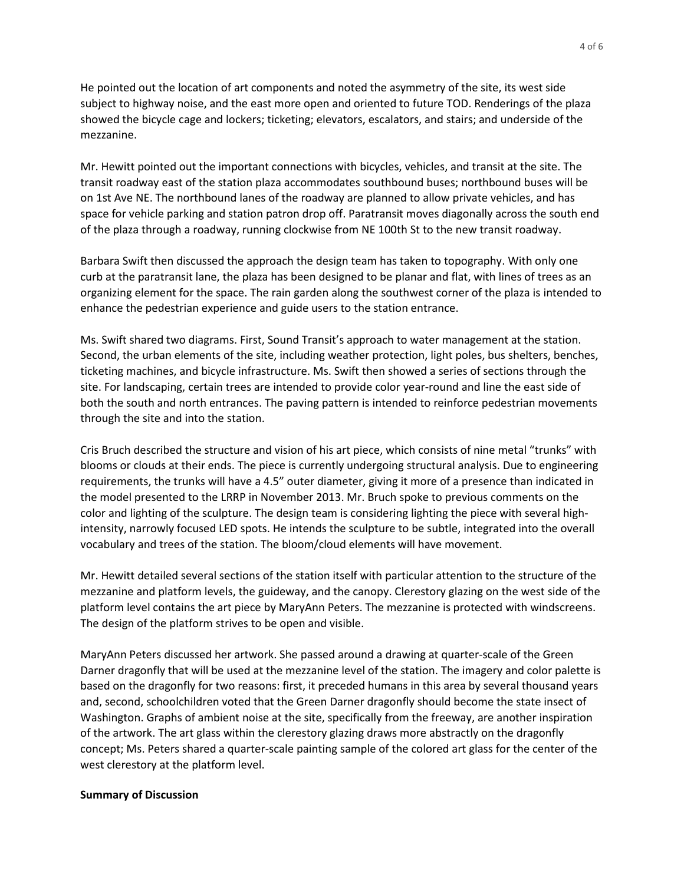He pointed out the location of art components and noted the asymmetry of the site, its west side subject to highway noise, and the east more open and oriented to future TOD. Renderings of the plaza showed the bicycle cage and lockers; ticketing; elevators, escalators, and stairs; and underside of the mezzanine.

Mr. Hewitt pointed out the important connections with bicycles, vehicles, and transit at the site. The transit roadway east of the station plaza accommodates southbound buses; northbound buses will be on 1st Ave NE. The northbound lanes of the roadway are planned to allow private vehicles, and has space for vehicle parking and station patron drop off. Paratransit moves diagonally across the south end of the plaza through a roadway, running clockwise from NE 100th St to the new transit roadway.

Barbara Swift then discussed the approach the design team has taken to topography. With only one curb at the paratransit lane, the plaza has been designed to be planar and flat, with lines of trees as an organizing element for the space. The rain garden along the southwest corner of the plaza is intended to enhance the pedestrian experience and guide users to the station entrance.

Ms. Swift shared two diagrams. First, Sound Transit's approach to water management at the station. Second, the urban elements of the site, including weather protection, light poles, bus shelters, benches, ticketing machines, and bicycle infrastructure. Ms. Swift then showed a series of sections through the site. For landscaping, certain trees are intended to provide color year-round and line the east side of both the south and north entrances. The paving pattern is intended to reinforce pedestrian movements through the site and into the station.

Cris Bruch described the structure and vision of his art piece, which consists of nine metal "trunks" with blooms or clouds at their ends. The piece is currently undergoing structural analysis. Due to engineering requirements, the trunks will have a 4.5" outer diameter, giving it more of a presence than indicated in the model presented to the LRRP in November 2013. Mr. Bruch spoke to previous comments on the color and lighting of the sculpture. The design team is considering lighting the piece with several highintensity, narrowly focused LED spots. He intends the sculpture to be subtle, integrated into the overall vocabulary and trees of the station. The bloom/cloud elements will have movement.

Mr. Hewitt detailed several sections of the station itself with particular attention to the structure of the mezzanine and platform levels, the guideway, and the canopy. Clerestory glazing on the west side of the platform level contains the art piece by MaryAnn Peters. The mezzanine is protected with windscreens. The design of the platform strives to be open and visible.

MaryAnn Peters discussed her artwork. She passed around a drawing at quarter-scale of the Green Darner dragonfly that will be used at the mezzanine level of the station. The imagery and color palette is based on the dragonfly for two reasons: first, it preceded humans in this area by several thousand years and, second, schoolchildren voted that the Green Darner dragonfly should become the state insect of Washington. Graphs of ambient noise at the site, specifically from the freeway, are another inspiration of the artwork. The art glass within the clerestory glazing draws more abstractly on the dragonfly concept; Ms. Peters shared a quarter-scale painting sample of the colored art glass for the center of the west clerestory at the platform level.

### **Summary of Discussion**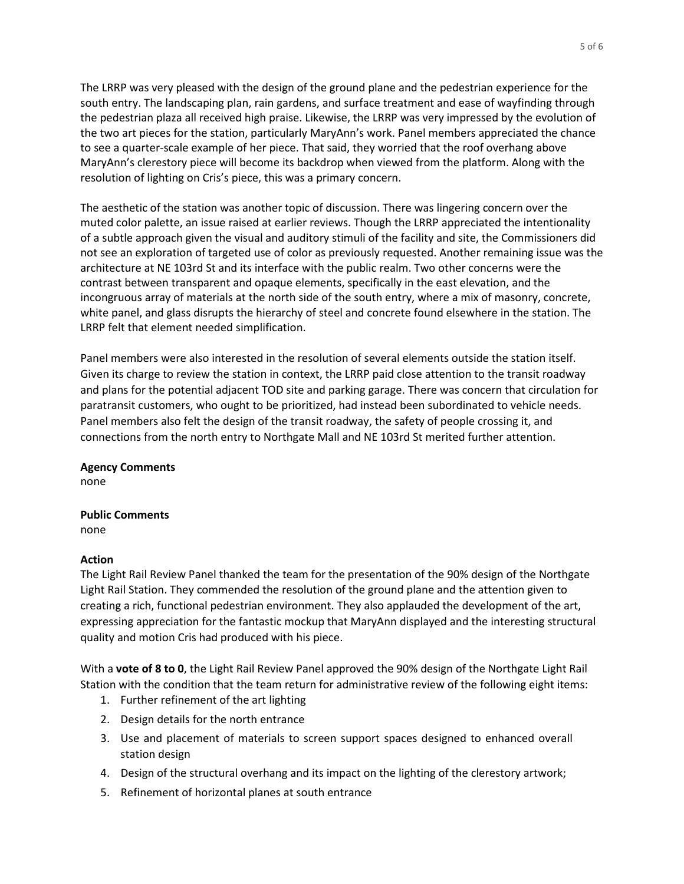The LRRP was very pleased with the design of the ground plane and the pedestrian experience for the south entry. The landscaping plan, rain gardens, and surface treatment and ease of wayfinding through the pedestrian plaza all received high praise. Likewise, the LRRP was very impressed by the evolution of the two art pieces for the station, particularly MaryAnn's work. Panel members appreciated the chance to see a quarter-scale example of her piece. That said, they worried that the roof overhang above MaryAnn's clerestory piece will become its backdrop when viewed from the platform. Along with the resolution of lighting on Cris's piece, this was a primary concern.

The aesthetic of the station was another topic of discussion. There was lingering concern over the muted color palette, an issue raised at earlier reviews. Though the LRRP appreciated the intentionality of a subtle approach given the visual and auditory stimuli of the facility and site, the Commissioners did not see an exploration of targeted use of color as previously requested. Another remaining issue was the architecture at NE 103rd St and its interface with the public realm. Two other concerns were the contrast between transparent and opaque elements, specifically in the east elevation, and the incongruous array of materials at the north side of the south entry, where a mix of masonry, concrete, white panel, and glass disrupts the hierarchy of steel and concrete found elsewhere in the station. The LRRP felt that element needed simplification.

Panel members were also interested in the resolution of several elements outside the station itself. Given its charge to review the station in context, the LRRP paid close attention to the transit roadway and plans for the potential adjacent TOD site and parking garage. There was concern that circulation for paratransit customers, who ought to be prioritized, had instead been subordinated to vehicle needs. Panel members also felt the design of the transit roadway, the safety of people crossing it, and connections from the north entry to Northgate Mall and NE 103rd St merited further attention.

**Agency Comments** none

# **Public Comments**

none

# **Action**

The Light Rail Review Panel thanked the team for the presentation of the 90% design of the Northgate Light Rail Station. They commended the resolution of the ground plane and the attention given to creating a rich, functional pedestrian environment. They also applauded the development of the art, expressing appreciation for the fantastic mockup that MaryAnn displayed and the interesting structural quality and motion Cris had produced with his piece.

With a **vote of 8 to 0**, the Light Rail Review Panel approved the 90% design of the Northgate Light Rail Station with the condition that the team return for administrative review of the following eight items:

- 1. Further refinement of the art lighting
- 2. Design details for the north entrance
- 3. Use and placement of materials to screen support spaces designed to enhanced overall station design
- 4. Design of the structural overhang and its impact on the lighting of the clerestory artwork;
- 5. Refinement of horizontal planes at south entrance